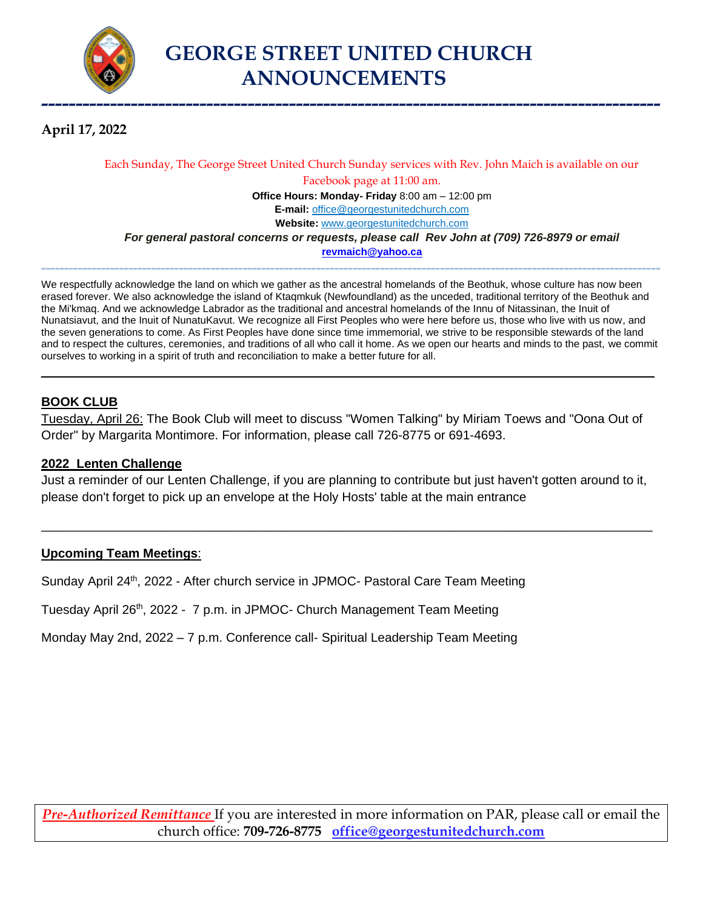

**April 17, 2022**

#### Each Sunday, The George Street United Church Sunday services with Rev. John Maich is available on our Facebook page at 11:00 am. **Office Hours: Monday- Friday** 8:00 am – 12:00 pm **E-mail:** [office@georgestunitedchurch.com](mailto:office@georgestunitedchurch.com)  **Website:** [www.georgestunitedchurch.com](http://www.georgestunitedchurch.com/) *For general pastoral concerns or requests, please call Rev John at (709) 726-8979 or email* **[revmaich@yahoo.ca](mailto:revmaich@yahoo.ca)**

We respectfully acknowledge the land on which we gather as the ancestral homelands of the Beothuk, whose culture has now been erased forever. We also acknowledge the island of Ktaqmkuk (Newfoundland) as the unceded, traditional territory of the Beothuk and the Mi'kmaq. And we acknowledge Labrador as the traditional and ancestral homelands of the Innu of Nitassinan, the Inuit of Nunatsiavut, and the Inuit of NunatuKavut. We recognize all First Peoples who were here before us, those who live with us now, and the seven generations to come. As First Peoples have done since time immemorial, we strive to be responsible stewards of the land and to respect the cultures, ceremonies, and traditions of all who call it home. As we open our hearts and minds to the past, we commit ourselves to working in a spirit of truth and reconciliation to make a better future for all.

 $\_$  , and the set of the set of the set of the set of the set of the set of the set of the set of the set of the set of the set of the set of the set of the set of the set of the set of the set of the set of the set of th

**---------------------------------------------------------------------------------------------------------------------------------------**

#### **BOOK CLUB**

Tuesday, April 26: The Book Club will meet to discuss "Women Talking" by Miriam Toews and "Oona Out of Order" by Margarita Montimore. For information, please call 726-8775 or 691-4693.

#### **2022 Lenten Challenge**

Just a reminder of our Lenten Challenge, if you are planning to contribute but just haven't gotten around to it, please don't forget to pick up an envelope at the Holy Hosts' table at the main entrance

\_\_\_\_\_\_\_\_\_\_\_\_\_\_\_\_\_\_\_\_\_\_\_\_\_\_\_\_\_\_\_\_\_\_\_\_\_\_\_\_\_\_\_\_\_\_\_\_\_\_\_\_\_\_\_\_\_\_\_\_\_\_\_\_\_\_\_\_\_\_\_\_\_\_\_\_\_\_\_\_\_\_\_\_\_\_\_

#### **Upcoming Team Meetings**:

Sunday April 24<sup>th</sup>, 2022 - After church service in JPMOC- Pastoral Care Team Meeting

Tuesday April 26<sup>th</sup>, 2022 - 7 p.m. in JPMOC- Church Management Team Meeting

Monday May 2nd, 2022 – 7 p.m. Conference call- Spiritual Leadership Team Meeting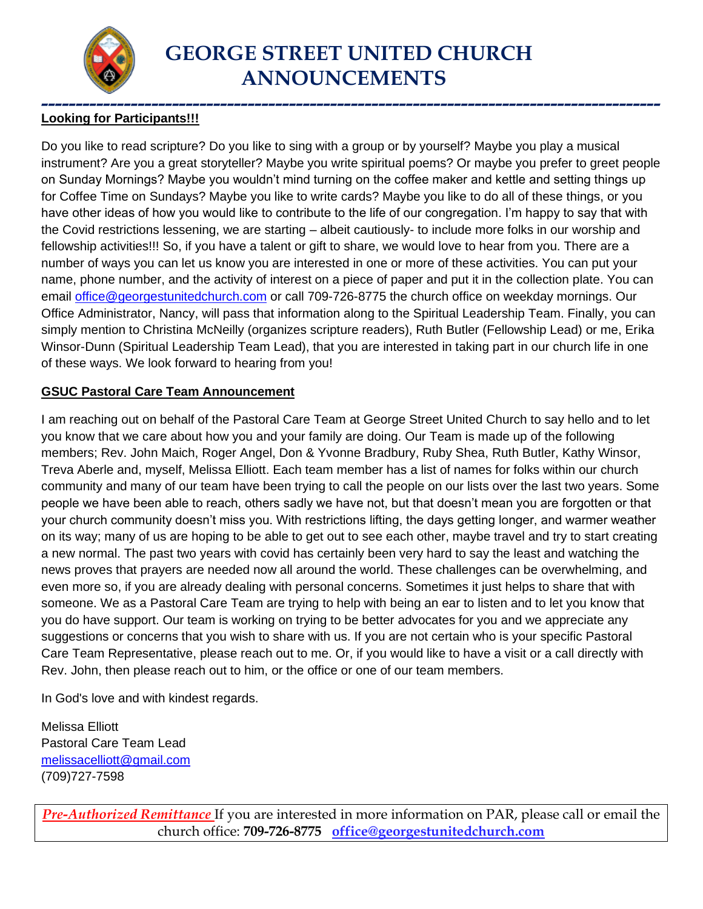

#### **------------------------------------------------------------------------------------------ Looking for Participants!!!**

Do you like to read scripture? Do you like to sing with a group or by yourself? Maybe you play a musical instrument? Are you a great storyteller? Maybe you write spiritual poems? Or maybe you prefer to greet people on Sunday Mornings? Maybe you wouldn't mind turning on the coffee maker and kettle and setting things up for Coffee Time on Sundays? Maybe you like to write cards? Maybe you like to do all of these things, or you have other ideas of how you would like to contribute to the life of our congregation. I'm happy to say that with the Covid restrictions lessening, we are starting – albeit cautiously- to include more folks in our worship and fellowship activities!!! So, if you have a talent or gift to share, we would love to hear from you. There are a number of ways you can let us know you are interested in one or more of these activities. You can put your name, phone number, and the activity of interest on a piece of paper and put it in the collection plate. You can email [office@georgestunitedchurch.com](mailto:office@georgestunitedchurch.com) or call 709-726-8775 the church office on weekday mornings. Our Office Administrator, Nancy, will pass that information along to the Spiritual Leadership Team. Finally, you can simply mention to Christina McNeilly (organizes scripture readers), Ruth Butler (Fellowship Lead) or me, Erika Winsor-Dunn (Spiritual Leadership Team Lead), that you are interested in taking part in our church life in one of these ways. We look forward to hearing from you!

#### **GSUC Pastoral Care Team Announcement**

I am reaching out on behalf of the Pastoral Care Team at George Street United Church to say hello and to let you know that we care about how you and your family are doing. Our Team is made up of the following members; Rev. John Maich, Roger Angel, Don & Yvonne Bradbury, Ruby Shea, Ruth Butler, Kathy Winsor, Treva Aberle and, myself, Melissa Elliott. Each team member has a list of names for folks within our church community and many of our team have been trying to call the people on our lists over the last two years. Some people we have been able to reach, others sadly we have not, but that doesn't mean you are forgotten or that your church community doesn't miss you. With restrictions lifting, the days getting longer, and warmer weather on its way; many of us are hoping to be able to get out to see each other, maybe travel and try to start creating a new normal. The past two years with covid has certainly been very hard to say the least and watching the news proves that prayers are needed now all around the world. These challenges can be overwhelming, and even more so, if you are already dealing with personal concerns. Sometimes it just helps to share that with someone. We as a Pastoral Care Team are trying to help with being an ear to listen and to let you know that you do have support. Our team is working on trying to be better advocates for you and we appreciate any suggestions or concerns that you wish to share with us. If you are not certain who is your specific Pastoral Care Team Representative, please reach out to me. Or, if you would like to have a visit or a call directly with Rev. John, then please reach out to him, or the office or one of our team members.

In God's love and with kindest regards.

Melissa Elliott Pastoral Care Team Lead [melissacelliott@gmail.com](mailto:melissacelliott@gmail.com) (709)727-7598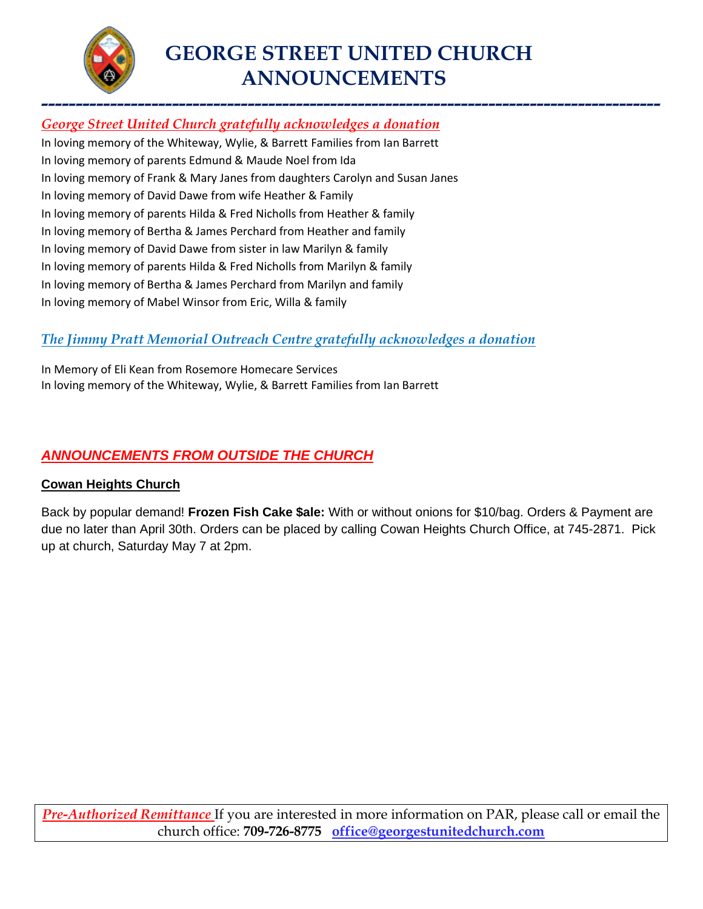

# **GEORGE STREET UNITED CHURCH ANNOUNCEMENTS**

## **------------------------------------------------------------------------------------------** *George Street United Church gratefully acknowledges a donation*

In loving memory of the Whiteway, Wylie, & Barrett Families from Ian Barrett In loving memory of parents Edmund & Maude Noel from Ida In loving memory of Frank & Mary Janes from daughters Carolyn and Susan Janes In loving memory of David Dawe from wife Heather & Family In loving memory of parents Hilda & Fred Nicholls from Heather & family In loving memory of Bertha & James Perchard from Heather and family In loving memory of David Dawe from sister in law Marilyn & family In loving memory of parents Hilda & Fred Nicholls from Marilyn & family In loving memory of Bertha & James Perchard from Marilyn and family In loving memory of Mabel Winsor from Eric, Willa & family

#### *The Jimmy Pratt Memorial Outreach Centre gratefully acknowledges a donation*

In Memory of Eli Kean from Rosemore Homecare Services In loving memory of the Whiteway, Wylie, & Barrett Families from Ian Barrett

### *ANNOUNCEMENTS FROM OUTSIDE THE CHURCH*

#### **Cowan Heights Church**

Back by popular demand! **Frozen Fish Cake \$ale:** With or without onions for \$10/bag. Orders & Payment are due no later than April 30th. Orders can be placed by calling Cowan Heights Church Office, at 745-2871. Pick up at church, Saturday May 7 at 2pm.